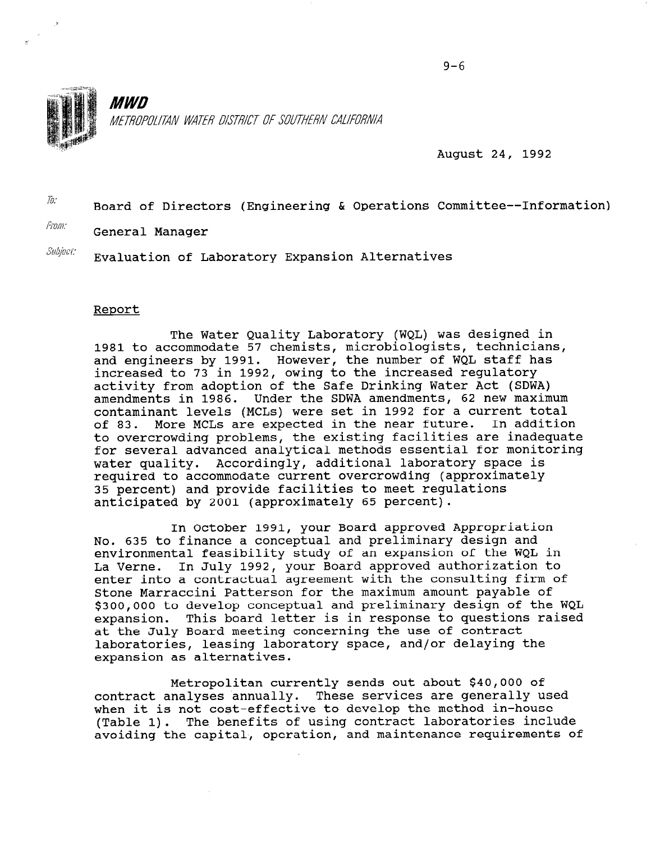

*MWD* METROPOLITAN WATER DISTRICT OF SOUTHERN CALIFORNIA

August 24, 1992

 $\bar{a}$ :<br>Board of Directors (Engineering & Operations Committee--Information)

From: General Manager

 $\mathit{Subject:}\quad$  Evaluation of Laboratory Expansion Alternatives

#### Report

The Water Quality Laboratory (WQL) was designed in 1981 to accommodate 57 chemists, microbiologists, technicians, and engineers by 1991. However, the number of WQL staff has increased to 73 in 1992, owing to the increased regulatory activity from adoption of the Safe Drinking Water Act (SDWA) amendments in 1986. Under the SDWA amendments, 62 new maximum contaminant levels (MCLs) were set in 1992 for a current total of 83. More MCLs are expected in the near future. In addition to overcrowding problems, the existing facilities are inadequate for several advanced analytical methods essential for monitoring water quality. Accordingly, additional laboratory space is required to accommodate current overcrowding (approximately 35 percent) and provide facilities to meet regulations anticipated by 2001 (approximately 65 percent).

In October 1991, your Board approved Appropriation No. 635 to finance a conceptual and preliminary design and environmental feasibility study of an expansion of the WQL in environmentar reasibility study of an expansion of the web in<br>La Verne. In July 1992, your Board approved suthorization to enter into a contractual agreement with the consulting firm of Stone Marraccini Patterson for the maximum amount payable of \$300,000 to develop conceptual and preliminary design of the WQL expansion. This board letter is in response to questions raised at the July Board meeting concerning the use of contract laboratories, leasing laboratory space, and/or delaying the expansion as alternatives.

Metropolitan currently sends out about \$40,000 of metropolitan currently sends out about \$40,000 Of contract analyses annually. These services are generally been when it is not cost-effective to develop the method in-house (Table 1). The benefits of using contract laboratories include<br>avoiding the capital, operation, and maintenance requirements of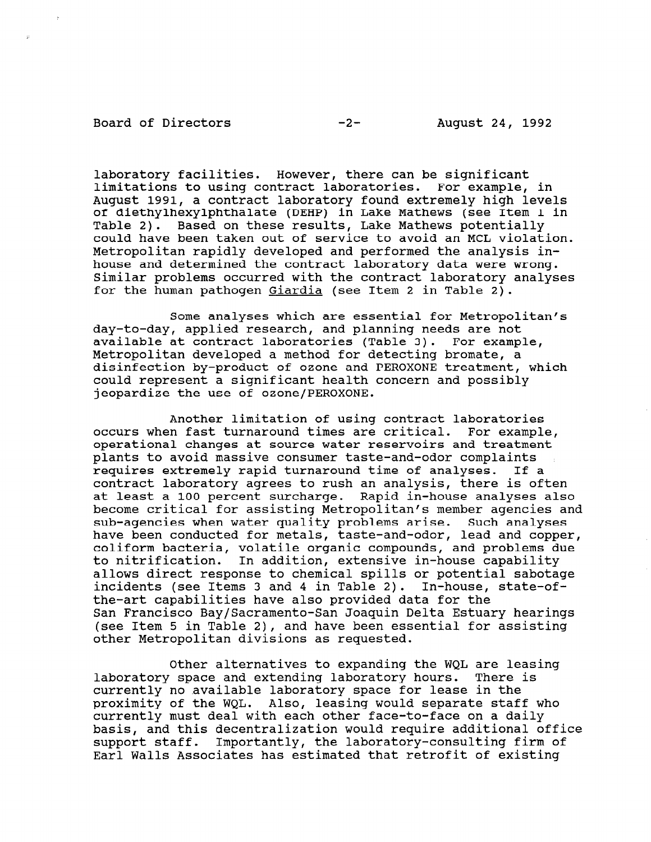#### Board of Directors -2- August 24, 1992

laboratory facilities. However, there can be significant limitations to using contract laboratories. For example, in August 1991, a contract laboratory found extremely high levels of diethylhexylphthalate (DEHP) in Lake Mathews (see Item 1 in Table 2). Based on these results, Lake Mathews potentially could have been taken out of service to avoid an MCL violation. Metropolitan rapidly developed and performed the analysis inhouse and determined the contract laboratory data were wrong. Similar problems occurred with the contract laboratory analyses for the human pathogen Giardia (see Item 2 in Table 2).

Some analyses which are essential for Metropolitan's day-to-day, applied research, and planning needs are not available at contract laboratories (Table 3). For example, Metropolitan developed a method for detecting bromate, a disinfection by-product of ozone and PEROXONE treatment, which could represent a significant health concern and possibly jeopardize the use of ozone/PEROXONE.

Another limitation of using contract laboratories occurs when fast turnaround times are critical. For example, operational changes at source water reservoirs and treatment plants to avoid massive consumer taste-and-odor complaints requires extremely rapid turnaround time of analyses. If a contract laboratory agrees to rush an analysis, there is often at least a 100 percent surcharge. Rapid in-house analyses also become critical for assisting Metropolitan's member agencies and sub-agencies when water quality problems arise. Such analyses have been conducted for metals, taste-and-odor, lead and copper, coliform bacteria, volatile organic compounds, and problems due to nitrification. In addition, extensive in-house capability allows direct response to chemical spills or potential sabotage incidents (see Items 3 and 4 in Table 2). In-house, state-ofthe-art capabilities have also provided data for the San Francisco Bay/Sacramento-San Joaquin Delta Estuary hearings (see Item 5 in Table 2), and have been essential for assisting other Metropolitan divisions as requested.

Other alternatives to expanding the WQL are leasing ULIEL AILEINALIVES LO EXPANDING LIE WYD AIE IEAS<br>delettie and extending laboratory hours. There is currently space and excending laboratory nours. There purrently no available laboratory space for lease in the proximity of the WQL. Also, leasing would separate staff who currently must deal with each other face-to-face on a daily basis, and this decentralization would require additional office support staff. Importantly, the laboratory-consulting firm of<br>Earl Walls Associates has estimated that retrofit of existing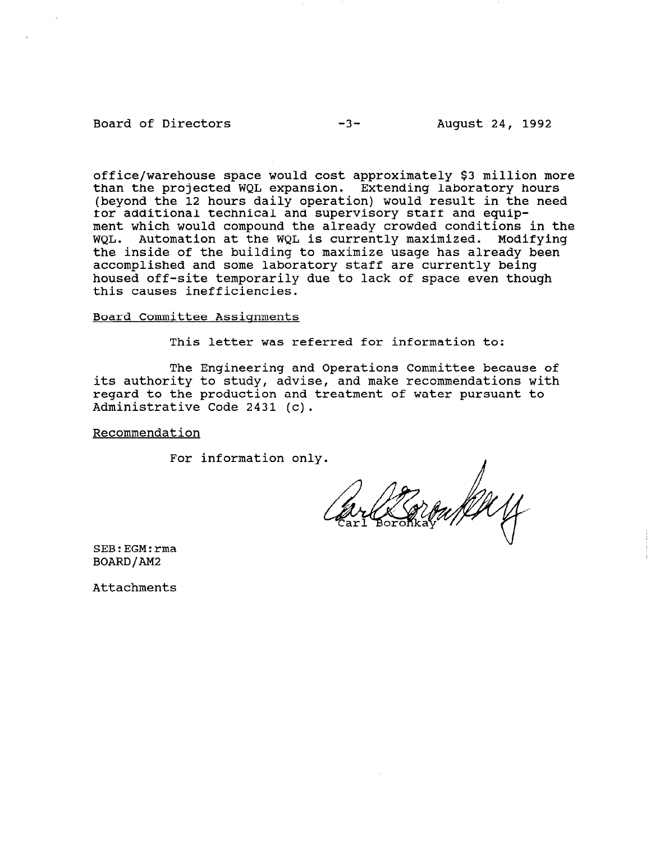### Board of Directors -3- August 24, 1992

office/warehouse space would cost approximately \$3 million more than the projected WQL expansion. Extending laboratory hours (beyond the 12 hours daily operation) would result in the need for additional technical and supervisory staff and equipment which would compound the already crowded conditions in the WQL. Automation at the WQL is currently maximized. Modifying the inside of the building to maximize usage has already been accomplished and some laboratory staff are currently being housed off-site temporarily due to lack of space even though this causes inefficiencies.

## Board Committee Assignments

This letter was referred for information to:

The Engineering and Operations Committee because of its authority to study, advise, and make recommendations with regard to the production and treatment of water pursuant to Administrative Code 2431 (c).

#### Recommendation

For information only.

SEB:EGM:rma BOARD/AM2

Attachments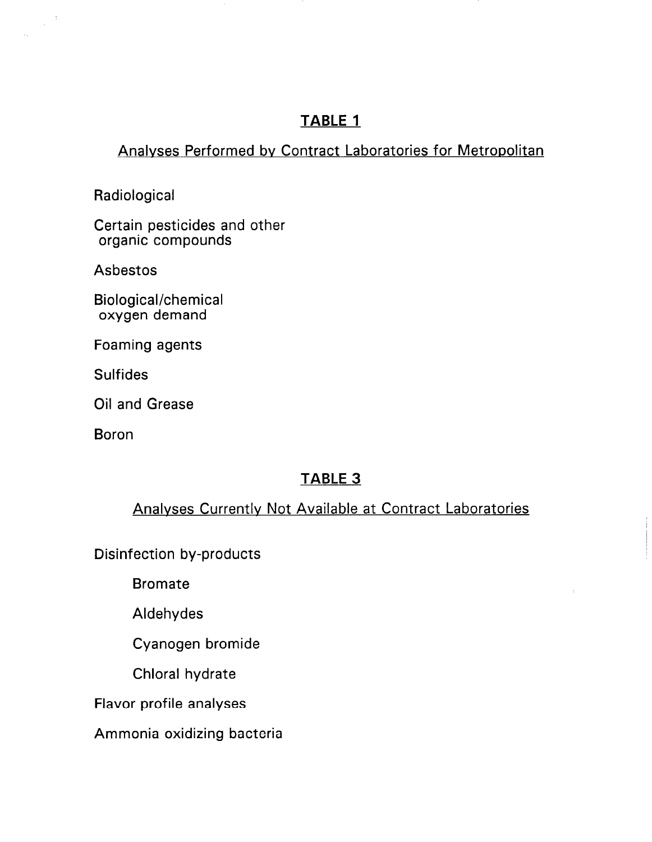## TABLE 1

## Analyses Performed by Contract Laboratories for Metropolitan

**Radiological** 

 $\frac{1}{2} \left( \frac{1}{2} \right)$ 

Certain pesticides and other organic compounds

Asbestos

Biological/chemical oxygen demand

Foaming agents

**Sulfides** 

Oil and Grease

Boron

## TABLE 3

## Analvses Currently Not Available at Contract Laboratories

Disinfection by-products

Bromate

Aldehydes

Cyanogen bromide

Chloral hydrate

Flavor profile analyses

Ammonia oxidizing bacteria